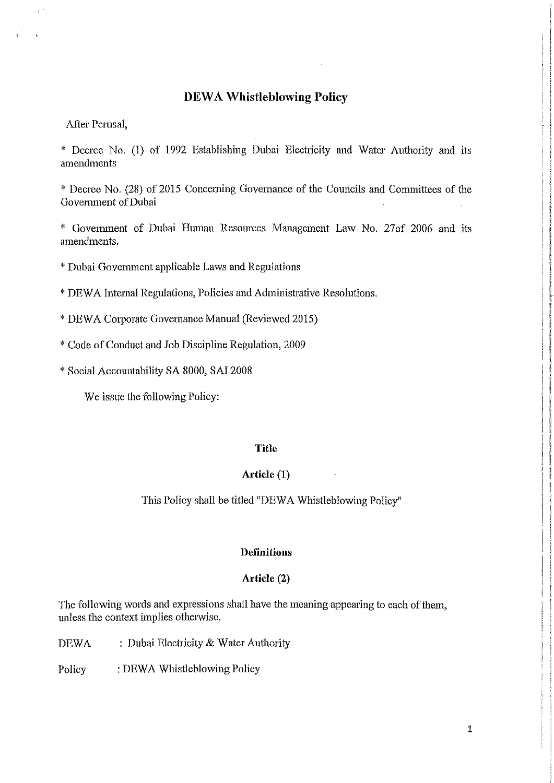# **DEWA Whistleblowing Policy**

After Perusal,

\* Decree No. (1) of 1992 Establishing Dubai Electricity and Water Authority aud its amendments

\* Decree No. (28) of 2015 Concerning Governance of the Councils and Committees of the Government of Dubai

\* Government of Dubai Human Resources Management Law No. 27of 2006 and its amendments.

\* Dubai Government applicable Laws and Regulations

\* DEW A Internal Regulations, Policies and Administrative Resolutions.

\* DEWA Corporate Governance Manual (Reviewed 2015)

\* Code of Conduct and Job Discipline Regulation, 2009

\* Social Accountability SA 8000, SAI 2008

We issue the following Policy:

#### **Title**

# **Article (l)**

This Policy shall be titled "DEWA Whistleblowing Policy"

#### **Definitions**

## **Article** (2)

The following words and expressions shall have the meaning appearing to each of them, unless the context implies otherwise.

DEWA : Dubai Electricity & Water Authority

Policy : DEWA Whistleblowing Policy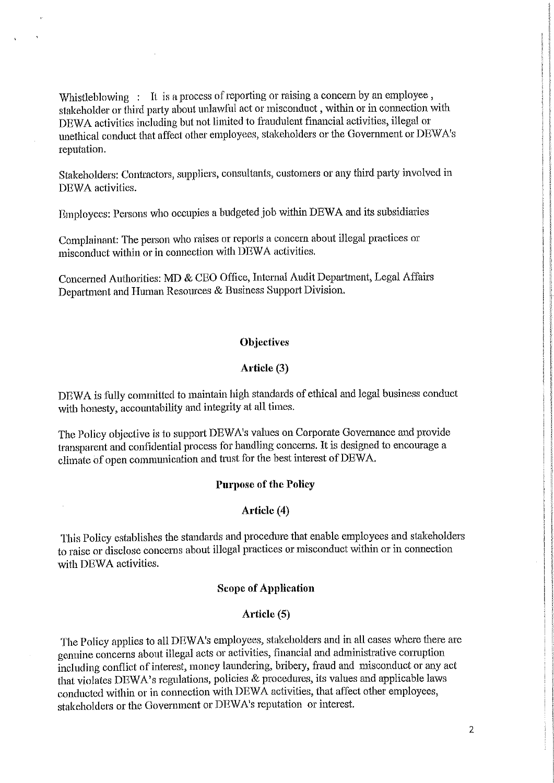Whistleblowing : It is a process of reporting or raising a concern by an employee, stakeholder or third party about unlawful act or misconduct , within or in connection with DEWA activities including but not limited to fraudulent financial activities, illegal or unethical conduct that affect other employees, stakeholders or the Government or DEWA's reputation.

Stakeholders: Contractors, suppliers, consultants, customers or any third party involved in DEWA activities.

Employees: Persons who occupies a budgeted job within DEWA and its subsidiaries

Complainant: The person who raises or reports a concern about illegal practices or misconduct within or in connection with DEWA activities.

Concerned Authorities: MD & CEO Office, Internal Audit Department, Legal Affairs Department and Human Resources & Business Support Division.

#### **Objectives**

## **A1·ticlc (3)**

DEWA is fully committed to maintain high standards of ethical and legal business conduct with honesty, accountability and integrity at all times.

The Policy objective is to support DEWA's values on Corporate Governance and provide transparent and confidential process for handling concerns. It is designed to encourage a climate of open communication and trust for the best interest of DEWA.

## **Purpose of the Policy**

## **Article (4)**

This Policy establishes the standards and procedure that enable employees and stakeholders to raise or disclose concerns about illegal practices or misconduct within or in connection with DEWA activities.

## **Scope of Application**

#### **Article (5)**

The Policy applies to all DEWA's employees, stakeholders and in all cases where there are genuine concerns about illegal acts or activities, financial and administrative corruption including conflict of interest, money laundering, bribery, fraud and misconduct or any act that violates DEWA's regulations, policies & procedures, its values and applicable laws conducted within or in connection with DEWA activities, that affect other employees, stakeholders or the Government or DEWA's reputation or interest.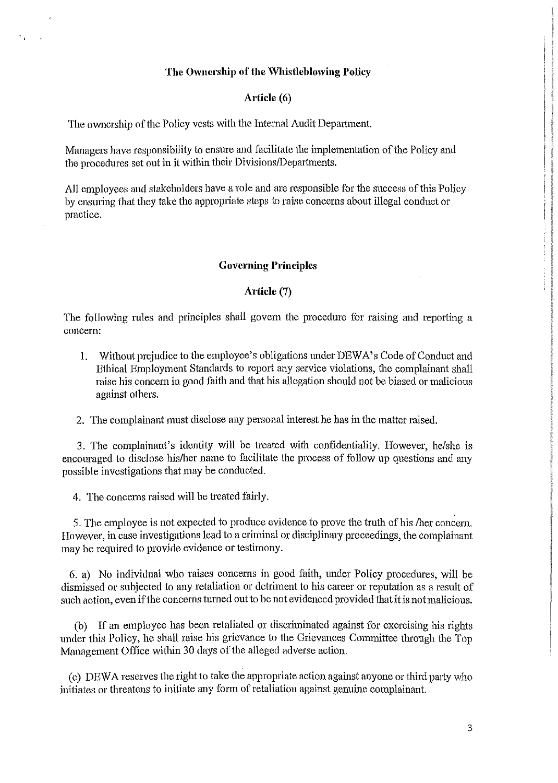### **The Ownership of the Whistleblowing Policy**

## **Article (6)**

The ownership of the Policy vests with the Internal Audit Department.

 $\mathbf{v}_{\rm{in}}$ 

Managers have responsibility to ensure and facilitate the implementation of the Policy and the procedures set out in it within their Divisions/Departments.

All employees and stakeholders have a role and are responsible for the success of this Policy by ensuring that they take the appropriate steps to raise concerns about illegal conduct or practice.

#### **Governing Principles**

## **Article** (7)

The following rules and principles shall govern the procedure for raising and reporting a concern:

- 1. Without prejudice to the employee's obligations under DEWA's Code of Conduct and Ethical Employment Standards to report any service violations, the complainant shall raise his concern in good faith and that his allegation should not be biased or malicious against others.
- 2. The complainant must disclose any personal interest he has in the matter raised.

3. The complainant's identity will be treated with confidentiality. However, he/she is encouraged to disclose his/her name to facilitate the process of follow up questions and any possible investigations that may be conducted.

4. The concerns raised will be treated fairly.

5. The employee is not expected to produce evidence to prove the truth of his /her concern. However, in case investigations lead to a criminal or disciplinaiy proceedings, the complainant may be required to provide evidence or testimony.

6. a) No individual who raises concerns in good faith, 1mder Policy procedures, will be dismissed or subjected to any retaliation or detriment to his career or reputation as a result of such action, even if the concerns turned out to be not evidenced provided that it is not malicious.

(b) If an employee has been retaliated or discriminated against for exercising his rights under tbis Policy, he shall raise his grievance to the Grievances Committee through the Top Management Office within 30 days of the alleged adverse action.

 $(c)$  DEWA reserves the right to take the appropriate action against anyone or third party who initiates or threatens to initiate any form of retaliation against genuine complainant.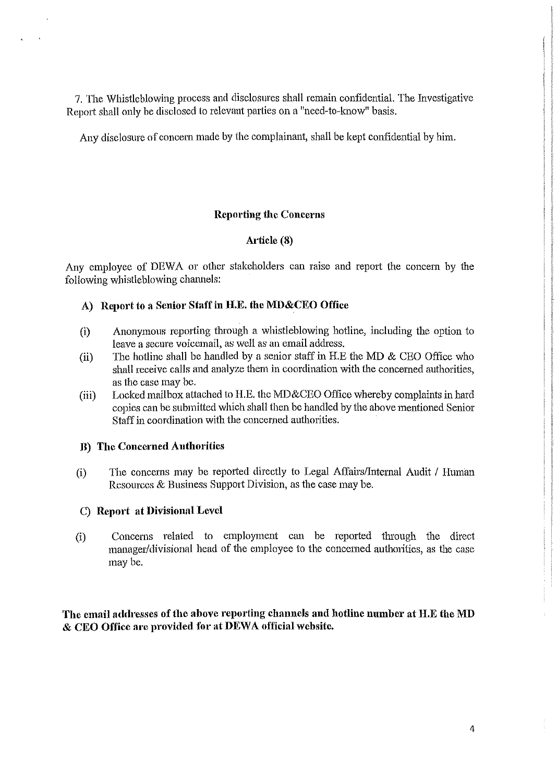7. The Whistleblowing process and disclosures shall remain confidential. The Investigative Report shall only be disclosed to relevant parties on a "need-to-know" basis.

Any disclosure of concern made by the complainant, shall be kept confidential by him.

# **Reporting the Concerns**

# **Article (8)**

Any employee of DEWA or other stakeholders can raise and report the concern by the following whistleblowing channels:

# **A) Report to a Senior Sfaff in H.E. the MD&CEO Office**

- (i) Anonymous reporting through a whistleblowing hotline, including the option to leave a secure voicemail, as well as an email address.
- (ii) The hotline shall be handled by a senior staff in H.E the MD & CEO Office who shall receive calls and analyze them in coordination with the concemed authorities, as the case may be.
- (iii) Locked mailbox attached to H.E. the MD&CEO Office whereby complaints in hard copies can be submitted which shall then be handled by the above mentioned Senior Staff in coordination with the concerned authorities.

#### **H) The Concerned Authorities**

(i) The concerns may be reported directly to Legal Affairs/Internal Audit / Human Resources & Business Support Division, as the case may be.

#### C) **Report at Divisional Level**

(i) Concerns related to employment can be reported through the direct manager/divisional head of the employee to the concerned authorities, as the case may be.

The email addresses of the above reporting channels and hotline number at H.E the MD  $\&$  CEO Office are provided for at DEWA official website.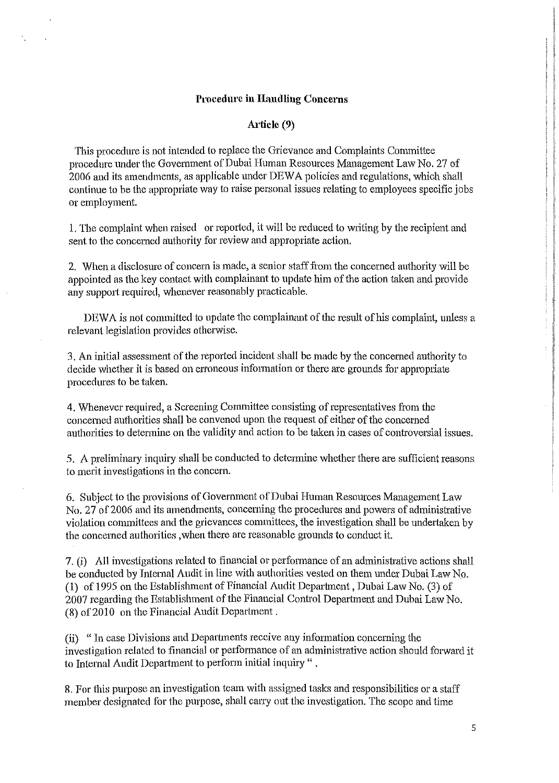### **Procedure in Handling Concerns**

# **Article (9)**

This procedure is not intended to replace the Grievance and Complaints Committee procedure under the Government of Dubai Human Resources Management Law No. 27 of 2006 and its amendments, as applicable under DEWA policies and regulations, which shall continue to be the appropriate way to raise personal issues relating to employees specific jobs or employment.

1. The complaint when raised or reported, it will be reduced to writing by the recipient and sent to the concerned authority for review and appropriate action.

2. When a disclosure of concern is made, a senior staff from the concemed authority will be appointed as the key contact with complainant to update him of the action taken and provide any support required, whenever reasonably practicable.

DEWA is not committed to update the complainant of the result of his complaint, unless a relevant legislation provides otherwise.

3. An initial assessment of the reported incident shall be made by the concerned authority to decide whether it is based on erroneous information or there are grounds for appropriate procedures to be taken.

4. Whenever required, a Screening Committee consisting of representatives from the concerned authorities shall be convened upon the request of either of the concerned authorities to determine on the validity and action to be taken in cases of controversial issues.

5. A preliminary inquiry shall be conducted to determine whether there are sufficient reasons to merit investigations in the concern.

6. Subject to the provisions of Government of Dubai Human Resources Management Law No. 27 of 2006 and its amendments, concerning the procedures and powers of administrative violation committees and the grievances committees, the investigation shall be undertaken by the concemed authorities ,when there are reasonable grounds to conduct it.

7. (i) All investigations related to financial or performance of an administrative actions shall be conducted by Intemal Audit in line with authorities vested on them under Dubai Law No. (1) of 1995 on the Establishment of Financial Audit Department, Dubai Law No. (3) of 2007 regarding the Establishment of the Financial Control Department and Dubai Law No. (8) of 2010 on the Financial Audit Department.

(ii) " In case Divisions and Departments receive any information conceming the investigation related to financial or performance of an administrative action should forward it to Internal Audit Department to perform initial inquiry " .

8. For this purpose an investigation team with assigned tasks and responsibilities or a staff member designated for the purpose, shall carry out the investigation. The scope and time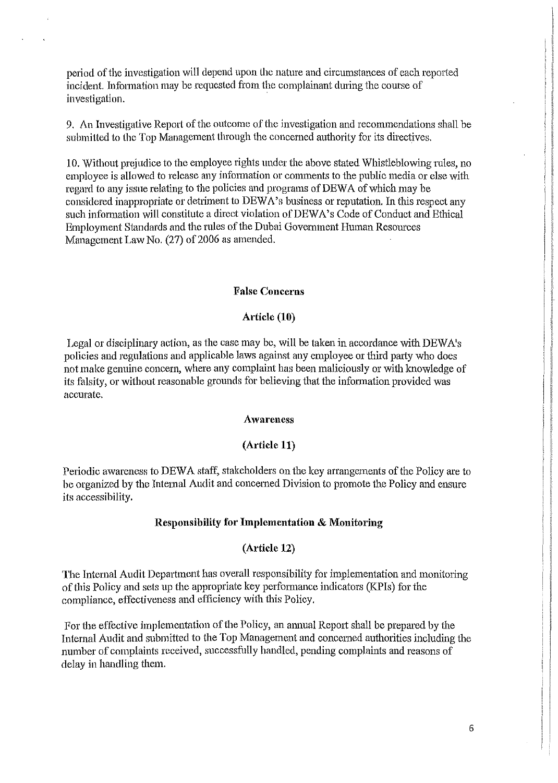period ofthe investigation will depend upon the nature and circumstances of each reported incident. Information may be requested from the complainant during the course of investigation.

9. An Investigative Report of the outcome of the investigation and recommendations shall be submitted to the Top Management through the concerned authority for its directives.

10. Without prejudice to the employee rights under the above stated Whistleblowing rules, no employee is allowed to release any information or comments to the public media or else with regard to any issue relating to the policies and programs of DEWA of which may be considered inappropriate or detriment to DEWA's business or reputation. In this respect any such infonnation will constitute a direct violation of DEWA's Code of Conduct and Ethical Employment Standards and the rules of the Dubai Government Human Resomces Management Law No. (27) of 2006 as amended.

## **False Concerns**

#### **Article (10)**

Legal or disciplinary action, as the case may be, will be taken in accordance with DEWA's policies and regulations and applicable laws against any employee or third party who does not make genuine concern, where any complaint has been maliciously or with knowledge of its falsity, or without reasonable grounds for believing that the information provided was accurate.

#### **Awareness**

#### **(Article 11)**

Periodic awareness to DEWA staff, stakeholders on the key arrangements of the Policy are to be organized hy tho Internal Audit and concerned Division to promote the Policy and ensure its accessibility.

#### **Responsibility for Implementation & Monitoring**

## **(Article 12)**

The Internal Audit Department has overall responsibility for implementation and monitoring of this Policy and sets up the appropriate key performance indicators (KPIs) for the compliance, effectiveness and efficiency with this Policy.

For the effective implementation of the Policy, an annual Report shall be prepared by the Internal Audit and submitted to the Top Management and concerned authorities including the number of complaints received, successfully handled, pending complaints and reasons of delay in handling them.